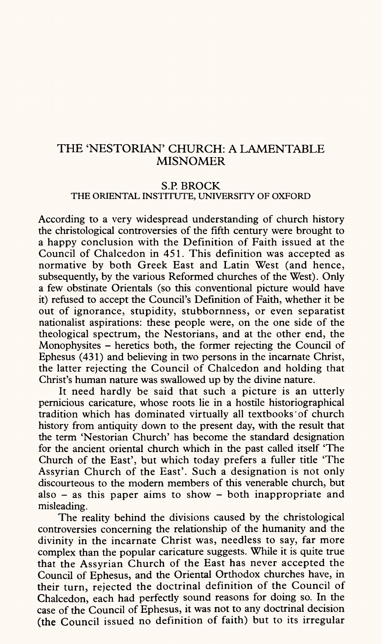## THE 'NESTORIAN' CHURCH: A LAMENTABLE MISNOMER

### **S.P. BROCK**  THE ORIENTAL INSTITUTE, UNIVERSITY OF OXFORD

According to a very widespread understanding of church history the christological controversies of the fifth century were brought to <sup>a</sup>happy conclusion with the Definition of Faith issued at the Council of Chalcedon in 451. This definition was accepted as normative by both Greek East and Latin West (and hence, subsequently, by the various Reformed churches of the West). Only a few obstinate Orientals (so this conventional picture would have it) refused to accept the Council's Definition of Faith, whether it be out of ignorance, stupidity, stubbornness, or even separatist nationalist aspirations: these people were, on the one side of the theological spectrum, the Nestorians, and at the other end, the Monophysites - heretics both, the former rejecting the Council of Ephesus (431) and believing in two persons in the incarnate Christ, the latter rejecting the Council of Chalcedon and holding that Christ's human nature was swallowed up by the divine nature.

It need hardly be said that such a picture is an utterly pernicious caricature, whose roots lie in a hostile historiographical tradition which has dominated virtually all textbooks'of church history from antiquity down to the present day, with the result that the term 'Nestorian Church' has become the standard designation for the ancient oriental church which in the past called itself 'The Church of the East', but which today prefers a fuller title 'The Assyrian Church of the East'. Such a designation is not only discourteous to the modern members of this venerable church, but also  $-$  as this paper aims to show  $-$  both inappropriate and misleading.

The reality behind the divisions caused by the christological controversies concerning the relationship of the humanity and the divinity in the incarnate Christ was, needless to say, far more complex than the popular caricature suggests. While it is quite true that the Assyrian Church of the East has never accepted the Council of Ephesus, and the Oriental Orthodox churches have, in their turn, rejected the doctrinal definition of the Council of Chalcedon, each had perfectly sound reasons for doing so. In the case of the Council of Ephesus, it was not to any doctrinal decision (the Council issued no definition of faith) but to its irregular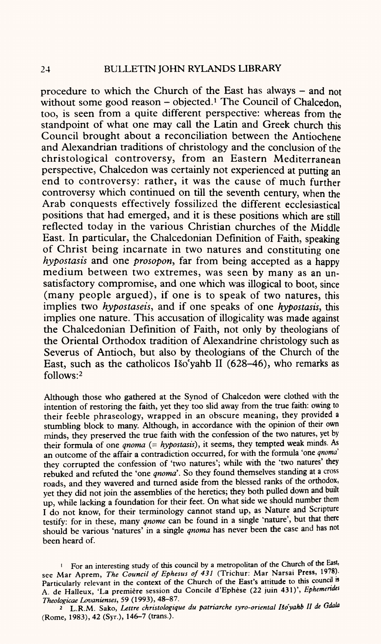procedure to which the Church of the East has always  $-$  and not without some good reason  $-$  objected.<sup>1</sup> The Council of Chalcedon, too, is seen from a quite different perspective: whereas from the standpoint of what one may call the Latin and Greek church this Council brought about a reconciliation between the Antiochene and Alexandrian traditions of christology and the conclusion of the christological controversy, from an Eastern Mediterranean perspective, Chalcedon was certainly not experienced at putting an end to controversy: rather, it was the cause of much further controversy which continued on till the seventh century, when the Arab conquests effectively fossilized the different ecclesiastical positions that had emerged, and it is these positions which are still reflected today in the various Christian churches of the Middle East. In particular, the Chalcedonian Definition of Faith, speaking of Christ being incarnate in two natures and constituting one *hypostasis* and one *prosopon*, far from being accepted as a happy medium between two extremes, was seen by many as an unsatisfactory compromise, and one which was illogical to boot, since (many people argued), if one is to speak of two natures, this implies two *hypostaseis,* and if one speaks of one *hypostasis,* this implies one nature. This accusation of illogicality was made against the Chalcedonian Definition of Faith, not only by theologians of the Oriental Orthodox tradition of Alexandrine christology such as Severus of Antioch, but also by theologians of the Church of the East, such as the catholicos Iso'yahb H (628-46), who remarks as follows: 2

Although those who gathered at the Synod of Chalcedon were clothed with the intention of restoring the faith, yet they too slid away from the true faith: owing to their feeble phraseology, wrapped in an obscure meaning, they provided <sup>a</sup> stumbling block to many. Although, in accordance with the opinion of their own minds, they preserved the true faith with the confession of the two natures, yet by their formula of one *qnoma (- hypostasis),* it seems, they tempted weak minds. As an outcome of the affair a contradiction occurred, for with the formula 'one *qnoma*  they corrupted the confession of 'two natures'; while with the 'two natures' they rebuked and refuted the 'one *qnoma'.* So they found themselves standing at a cross roads, and they wavered and turned aside from the blessed ranks of the orthodox, yet they did not join the assemblies of the heretics; they both pulled down and built up, while lacking a foundation for their feet. On what side we should number them I do not know, for their terminology cannot stand up, as Nature and Scripture testify: for in these, many *qnome* can be found in a single 'nature', but that there should be various 'natures' in a single *qnoma* has never been the case and has not been heard of.

<sup>1</sup> For an interesting study of this council by a metropolitan of the Church of the East, see Mar Aprem, *The Council of Ephesus of 431* (Trichur: Mar Narsai Press, 1978). Particularly relevant in the context of the Church of the East's attitude to this council is A. de Halleux, 'La premiere session du Concile d'Ephese (22 juin 431)', *Ephemerides Theologicae Lovanienses,* 59 (1993), 48-87.

<sup>2</sup>L.R.M. Sako, *Lettre christologique du patriarche syro-orienlal lio'yahb II de Gdala*  (Rome, 1983), 42 (Syr.), 146-7 (trans.).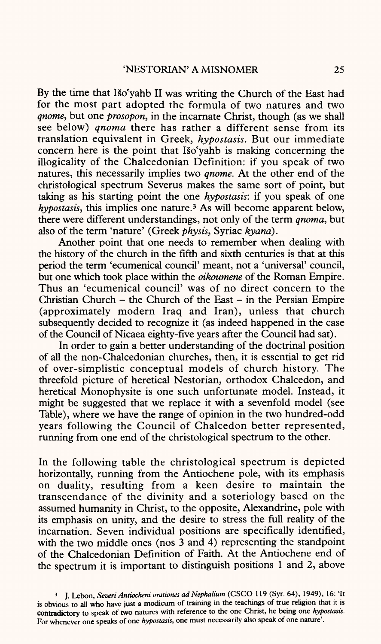By the time that Iso'yahb II was writing the Church of the East had for the most part adopted the formula of two natures and two *qnome,* but one *prosopon,* in the incarnate Christ, though (as we shall see below) *qnoma* there has rather a different sense from its translation equivalent in Greek, *hypostasis.* But our immediate concern here is the point that Iso'yahb is making concerning the illogicality of the Chalcedonian Definition: if you speak of two natures, this necessarily implies two *qnome.* At the other end of the christological spectrum Severus makes the same sort of point, but taking as his starting point the one *hypostasis:* if you speak of one *hypostasis,* this implies one nature.3 As will become apparent below, there were different understandings, not only of the term *qnoma,* but also of the term 'nature' (Greek *physis,* Syriac *kyana).*

Another point that one needs to remember when dealing with the history of the church in the fifth and sixth centuries is that at this period the term 'ecumenical council' meant, not a 'universal' council, but one which took place within the *oikoumene* of the Roman Empire. Thus an 'ecumenical council' was of no direct concern to the Christian Church  $-$  the Church of the East  $-$  in the Persian Empire (approximately modern Iraq and Iran), unless that church subsequently decided to recognize it (as indeed happened in the case of the Council of Nicaea eighty-five years after the Council had sat).

In order to gain a better understanding of the doctrinal position of all the non-Chalcedonian churches, then, it is essential to get rid of over-simplistic conceptual models of church history. The threefold picture of heretical Nestorian, orthodox Chalcedon, and heretical Monophysite is one such unfortunate model. Instead, it might be suggested that we replace it with a sevenfold model (see Table), where we have the range of opinion in the two hundred-odd years following the Council of Chalcedon better represented, running from one end of the christological spectrum to the other.

In the following table the christological spectrum is depicted horizontally, running from the Antiochene pole, with its emphasis on duality, resulting from a keen desire to maintain the transcendance of the divinity and a soteriology based on the assumed humanity in Christ, to the opposite, Alexandrine, pole with its emphasis on unity, and the desire to stress the full reality of the incarnation. Seven individual positions are specifically identified, with the two middle ones (nos 3 and 4) representing the standpoint of the Chalcedonian Definition of Faith. At the Antiochene end of the spectrum it is important to distinguish positions 1 and 2, above

<sup>3</sup> J. Lebon, *Seven Antiocheni orationes ad Nephalium* (CSCO 119 (Syr. 64), 1949), 16: 'It is obvious to all who have just a modicum of training in the teachings of true religion that it is contradictory to speak of two natures with reference to the one Christ, he being one *hypostasis.*  For whenever one speaks of one *hypostasis,* one must necessarily also speak of one nature'.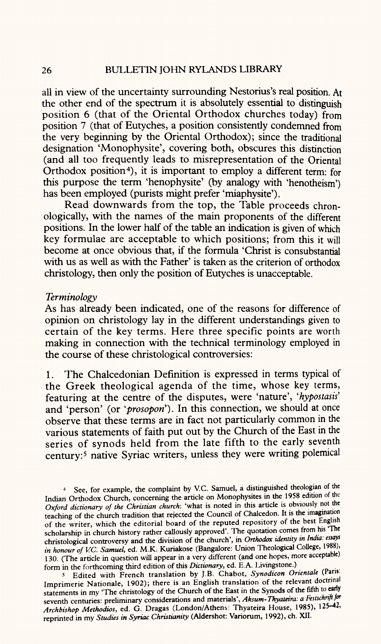all in view of the uncertainty surrounding Nestorius's real position. At the other end of the spectrum it is absolutely essential to distinguish position 6 (that of the Oriental Orthodox churches today) from position 7 (that of Eutyches, a position consistently condemned from the very beginning by the Oriental Orthodox); since the traditional designation 'Monophysite', covering both, obscures this distinction (and all too frequently leads to misrepresentation of the Oriental Orthodox position<sup>4</sup>), it is important to employ a different term: for this purpose the term 'henophysite' (by analogy with 'henotheism') has been employed (purists might prefer 'miaphysite').

Read downwards from the top, the Table proceeds chronologically, with the names of the main proponents of the different positions. In the lower half of the table an indication is given of which key formulae are acceptable to which positions; from this it will become at once obvious that, if the formula 'Christ is consubstantial with us as well as with the Father' is taken as the criterion of orthodox christology, then only the position of Eutyches is unacceptable.

#### *Terminology*

As has already been indicated, one of the reasons for difference of opinion on christology lay in the different understandings given to certain of the key terms. Here three specific points are worth making in connection with the technical terminology employed in the course of these christological controversies:

1. The Chalcedonian Definition is expressed in terms typical of the Greek theological agenda of the time, whose key terms, featuring at the centre of the disputes, were 'nature', 'hypostasis' and 'person' (or *'prosopon').* In this connection, we should at once observe that these terms are in fact not particularly common in the various statements of faith put out by the Church of the East in the series of synods held from the late fifth to the early seventh century:<sup>5</sup> native Syriac writers, unless they were writing polemical

<sup>5</sup>Edited with French translation by J.B. Chabot, *Synodicon Orientale* (Paris: Imprimerie Nationale, 1902); there is an English translation of the relevant doctrinal statements in my 'The christology of the Church of the East in the Synods of the fifth to early seventh centuries: preliminary considerations and materials', *Aksum-Thyateira: a Festschrift for Archbishop Methodios,* ed. G. Dragas (London/Athens: Thyateira House, 1985), 125-42, reprinted in my *Studies in Syriac Christianity* (Aldershot: Variorum, 1992), ch. XII.

See, for example, the complaint by V.C. Samuel, a distinguished theologian of the Indian Orthodox Church, concerning the article on Monophysites in the 1958 edition of the *Oxford dictionary of the Christian church:* 'what is noted in this article is obviously not the teaching of the church tradition that rejected the Council of Chalcedon. It is the imagination of the writer, which the editorial board of the reputed repository of the best English scholarship in church history rather callously approved'. The quotation comes from his 'The christological controversy and the division of the church', in *Orthodox identity in India: essays in honour of V.C. Samuel,* ed. M.K. Kuriakose (Bangalore: Union Theological College, 1988), 130. (The article in question will appear in a very different (and one hopes, more acceptable) form in the forthcoming third edition of this *Dictionary,* ed. E.A. Livingstone.)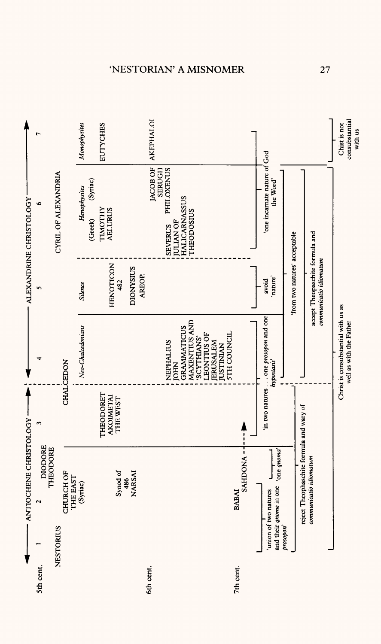

# ESTORIAN' A MISNOME

**NJ**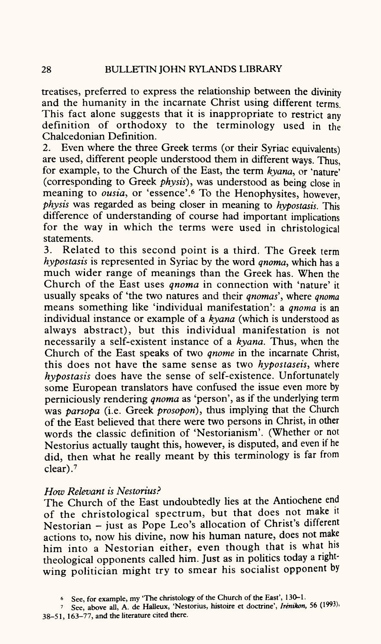treatises, preferred to express the relationship between the divinity and the humanity in the incarnate Christ using different terms. This fact alone suggests that it is inappropriate to restrict any definition of orthodoxy to the terminology used in the Chalcedonian Definition.

2. Even where the three Greek terms (or their Syriac equivalents) are used, different people understood them in different ways. Thus, for example, to the Church of the East, the term *kyana,* or 'nature' (corresponding to Greek *physis),* was understood as being close in meaning to *ousia*, or 'essence'.<sup>6</sup> To the Henophysites, however, *<sup>p</sup>hysis* was regarded as being closer in meaning to *hypostasis.* This difference of understanding of course had important implications for the way in which the terms were used in christological statements.

3. Related to this second point is a third. The Greek term *hypostasis* is represented in Syriac by the word *qnoma,* which has <sup>a</sup> much wider range of meanings than the Greek has. When the Church of the East uses *qnoma* in connection with 'nature' it usually speaks of 'the two natures and their *qnomas\* where *qnoma*  means something like 'individual manifestation': a *gnoma* is an individual instance or example of a *kyana* (which is understood as always abstract), but this individual manifestation is not necessarily a self-existent instance of a *kyana.* Thus, when the Church of the East speaks of two *gnome* in the incarnate Christ, this does not have the same sense as two *hypostaseis,* where *hypostasis* does have the sense of self-existence. Unfortunately some European translators have confused the issue even more by perniciously rendering *qnoma* as 'person', as if the underlying term was *parsopa* (i.e. Greek *prosopori),* thus implying that the Church of the East believed that there were two persons in Christ, in other words the classic definition of 'Nestorianism'. (Whether or not Nestorius actually taught this, however, is disputed, and even if he did, then what he really meant by this terminology is far from clear). 7

### *How Relevant is Nestorius?*

The Church of the East undoubtedly lies at the Antiochene end of the christological spectrum, but that does not make it Nestorian - just as Pope Leo's allocation of Christ's different actions to, now his divine, now his human nature, does not make him into a Nestorian either, even though that is what his theological opponents called him. Just as in politics today a rightwing politician might try to smear his socialist opponent by

**<sup>6</sup> See, for example, my "The christology of the Church of the East', 130-1.**

**<sup>7</sup> See, above all, A. de Halleux, 'Nestorius, histoire et doctrine',** *Irenikon,* **56 (1993), 38-51, 163-77, and the literature cited there.**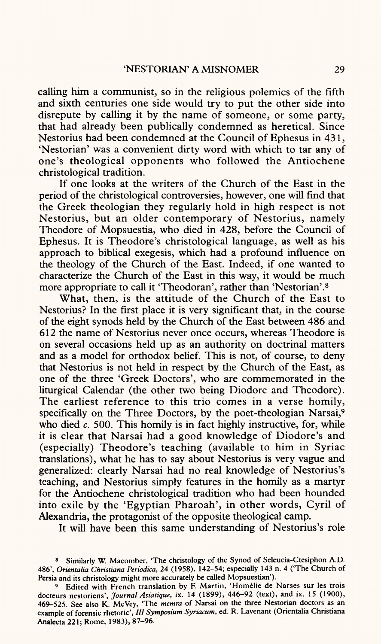calling him a communist, so in the religious polemics of the fifth and sixth centuries one side would try to put the other side into disrepute by calling it by the name of someone, or some party, that had already been publically condemned as heretical. Since Nestorius had been condemned at the Council of Ephesus in 431, 'Nestorian' was a convenient dirty word with which to tar any of one's theological opponents who followed the Antiochene christological tradition.

If one looks at the writers of the Church of the East in the period of the christological controversies, however, one will find that the Greek theologian they regularly hold in high respect is not Nestorius, but an older contemporary of Nestorius, namely Theodore of Mopsuestia, who died in 428, before the Council of Ephesus. It is Theodore's christological language, as well as his approach to biblical exegesis, which had a profound influence on the theology of the Church of the East. Indeed, if one wanted to characterize the Church of the East in this way, it would be much more appropriate to call it 'Theodoran', rather than 'Nestorian'.8

What, then, is the attitude of the Church of the East to Nestorius? In the first place it is very significant that, in the course of the eight synods held by the Church of the East between 486 and 612 the name of Nestorius never once occurs, whereas Theodore is on several occasions held up as an authority on doctrinal matters and as <sup>a</sup>model for orthodox belief. This is not, of course, to deny that Nestorius is not held in respect by the Church of the East, as one of the three 'Greek Doctors', who are commemorated in the liturgical Calendar (the other two being Diodore and Theodore). The earliest reference to this trio comes in a verse homily, specifically on the Three Doctors, by the poet-theologian Narsai,<sup>9</sup> who died *c.* 500. This homily is in fact highly instructive, for, while it is clear that Narsai had a good knowledge of Diodore's and (especially) Theodore's teaching (available to him in Syriac translations), what he has to say about Nestorius is very vague and generalized: clearly Narsai had no real knowledge of Nestorius's teaching, and Nestorius simply features in the homily as <sup>a</sup>martyr for the Antiochene christological tradition who had been hounded into exile by the 'Egyptian Pharoah', in other words, Cyril of Alexandria, the protagonist of the opposite theological camp.

It will have been this same understanding of Nestorius's role

<sup>8</sup> Similarly W. Macomber, 'The christology of the Synod of Seleucia-Ctesiphon A.D. 486', *Orientalia Christiana Periodica,* 24 (1958), 142-54; especially 143 n. 4 ('The Church of Persia and its christology might more accurately be called Mopsuestian').

<sup>9</sup> Edited with French translation by F. Martin, 'Homelie de Narses sur les trois docteurs nestoriens', *Journal Asiatique,* ix. 14 (1899), 446-92 (text), and ix. 15 (1900), 469-525. See also K. McVey, 'The *memra* of Narsai on the three Nestorian doctors as an example of forensic rhetoric', /// *Symposium Syriacum,* ed. R. Lavenant (Orientalia Christiana Analecta 221; Rome, 1983), 87-96.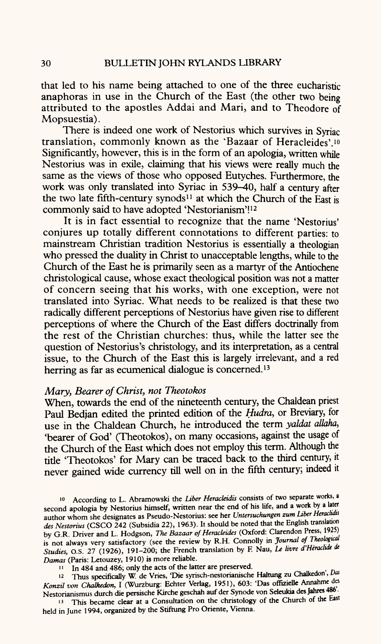that led to his name being attached to one of the three eucharistic anaphoras in use in the Church of the East (the other two being attributed to the apostles Addai and Mari, and to Theodore of Mopsuestia).

There is indeed one work of Nestorius which survives in Syriac translation, commonly known as the 'Bazaar of Heracleides'. 10 Significantly, however, this is in the form of an apologia, written while Nestorius was in exile, claiming that his views were really much the same as the views of those who opposed Eutyches. Furthermore, the work was only translated into Syriac in 539-40, half a century after the two late fifth-century synods<sup>11</sup> at which the Church of the East is commonly said to have adopted 'Nestorianism'!<sup>12</sup>

It is in fact essential to recognize that the name 'Nestorius' conjures up totally different connotations to different parties: to mainstream Christian tradition Nestorius is essentially a theologian who pressed the duality in Christ to unacceptable lengths, while to the Church of the East he is primarily seen as a martyr of the Antiochene christological cause, whose exact theological position was not a matter of concern seeing that his works, with one exception, were not translated into Syriac. What needs to be realized is that these two radically different perceptions of Nestorius have given rise to different perceptions of where the Church of the East differs doctrinally from the rest of the Christian churches: thus, while the latter see the question of Nestorius's christology, and its interpretation, as <sup>a</sup>central issue, to the Church of the East this is largely irrelevant, and a red herring as far as ecumenical dialogue is concerned.<sup>13</sup>

### *Mary, Bearer of Christ, not Theotokos*

When, towards the end of the nineteenth century, the Chaldean priest Paul Bedjan edited the printed edition of the *Hudra,* or Breviary, for use in the Chaldean Church, he introduced the term *yaldat allaha,*  'bearer of God' (Theotokos), on many occasions, against the usage of the Church of the East which does not employ this term. Although the tide 'Theotokos' for Mary can be traced back to the third century, it never gained wide currency till well on in the fifth century; indeed it

<sup>10</sup>According to L. Abramowski the *Liber Heracleidis* consists of two separate works, <sup>a</sup> second apologia by Nestorius himself, written near the end of his life, and a work by a later author whom she designates as Pseudo-Nestorius: see her *Untersuchungen zum Liber Heracluto des Nestorius* (CSCO 242 (Subsidia 22), 1963). It should be noted that the English translation by G.R. Driver and L. Hodgson, *The Bazaar of Heracleides* (Oxford: Clarendon Press, 1925) is not always very satisfactory (see the review by R.H. Connolly in *Journal of Theological Studies,* O.S. 27 (1926), 191-200; the French translation by F. Nau, *Le livre d'Heraclide de Damas* (Paris: Letouzey, 1910) is more reliable.

Thus specifically W. de Vries, 'Die syrisch-nestorianische Haltung zu Chalkedon', *Das Konzil van Chalkedon,* I (Wurzburg: Echter Verlag, 1951), 603: 'Das offizielle Annahme des Nestorianismus durch die persische Kirche geschah auf der Synode von Seleukia des Jahres 486'.

13 This became clear at a Consultation on the christology of the Church of the East held in June 1994, organized by the Stiftung Pro Oriente, Vienna.

<sup>1</sup>In 484 and 486; only the acts of the latter are preserved.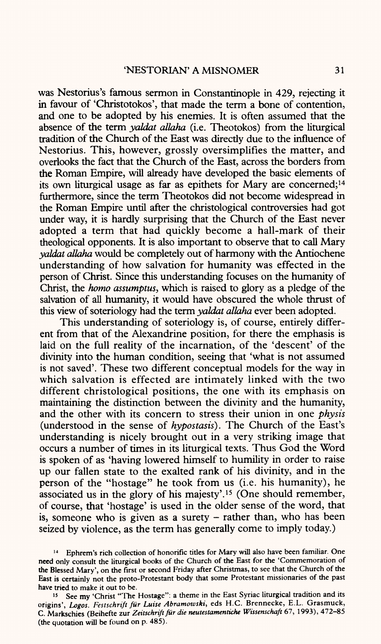was Nestorius's famous sermon in Constantinople in 429, rejecting it in favour of 'Christotokos', that made the term a bone of contention, and one to be adopted by his enemies. It is often assumed that the absence of the term *yaldat allaha* (i.e. Theotokos) from the liturgical tradition of the Church of the East was directly due to the influence of Nestorius. This, however, grossly oversimplifies the matter, and overlooks the fact that the Church of the East, across the borders from the Roman Empire, will already have developed the basic elements of its own liturgical usage as far as epithets for Mary are concerned; 14 furthermore, since the term Theotokos did not become widespread in the Roman Empire until after the christological controversies had go<sup>t</sup> under way, it is hardly surprising that the Church of the East never adopted a term that had quickly become a hall-mark of their theological opponents. It is also important to observe that to call Mary *yaldat allaha* would be completely out of harmony with the Antiochene understanding of how salvation for humanity was effected in the person of Christ. Since this understanding focuses on the humanity of Christ, the *homo assumptus,* which is raised to glory as <sup>a</sup>pledge of the salvation of all humanity, it would have obscured the whole thrust of this view of soteriology had the term *yaldat allaha* ever been adopted.

This understanding of soteriology is, of course, entirely different from that of the Alexandrine position, for there the emphasis is laid on the full reality of the incarnation, of the 'descent' of the divinity into the human condition, seeing that 'what is not assumed is not saved'. These two different conceptual models for the way in which salvation is effected are intimately linked with the two different christological positions, the one with its emphasis on maintaining the distinction between the divinity and the humanity, and the other with its concern to stress their union in one *physis*  (understood in the sense of *hypostasis).* The Church of the East's understanding is nicely brought out in a very striking image that occurs a number of times in its liturgical texts. Thus God the Word is spoken of as 'having lowered himself to humility in order to raise up our fallen state to the exalted rank of his divinity, and in the person of the "hostage" he took from us (i.e. his humanity), he associated us in the glory of his majesty'. 15 (One should remember, of course, that 'hostage' is used in the older sense of the word, that is, someone who is given as a surety  $-$  rather than, who has been seized by violence, as the term has generally come to imply today.)

<sup>14</sup> Ephrem's rich collection of honorific tides for Mary will also have been familiar. One need only consult the liturgical books of the Church of the East for the 'Commemoration of the Blessed Mary', on the first or second Friday after Christmas, to see that the Church of the East is certainly not the proto-Protestant body that some Protestant missionaries of the pas<sup>t</sup> have tried to make it out to be.

<sup>15</sup> See my 'Christ "The Hostage": a theme in the East Syriac liturgical tradition and its origins', *Logos. Festschrift fur Luise Abramowski,* eds H.C. Brennecke, E.L. Grasmuck, C. Markschies (Beihefte zur *Zeitschrift fur die neutestamentiche Wissenschaft* 67, 1993), 472-85 (the quotation will be found on p. 485).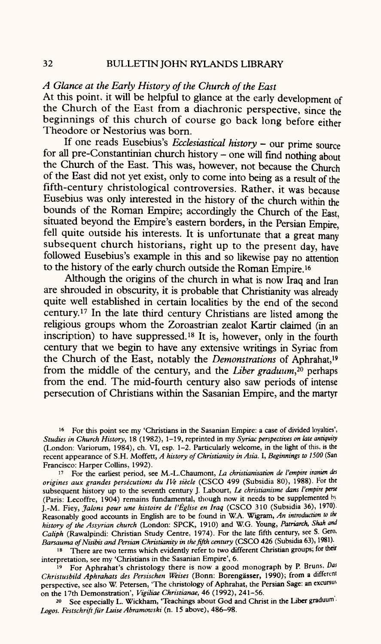### *A Glance at the Early History of the Church of the East*

At this point, it will be helpful to glance at the early development of the Church of the East from a diachronic perspective, since the beginnings of this church of course go back long before either Theodore or Nestorius was born.

If one reads Eusebius's *Ecclesiastical history -* our prime source for all pre-Constantinian church history - one will find nothing about the Church of the East. This was, however, not because the Church of the East did not yet exist, only to come into being as a result of the fifth-century christological controversies. Rather, it was because Eusebius was only interested in the history of the church within the bounds of the Roman Empire; accordingly the Church of the East, situated beyond the Empire's eastern borders, in the Persian Empire,' fell quite outside his interests. It is unfortunate that a great many subsequent church historians, right up to the present day, have followed Eusebius's example in this and so likewise pay no attention to the history of the early church outside the Roman Empire. 16

Although the origins of the church in what is now Iraq and Iran are shrouded in obscurity, it is probable that Christianity was already quite well established in certain localities by the end of the second century. 17 In the late third century Christians are listed among the religious groups whom the Zoroastrian zealot Kartir claimed (in an inscription) to have suppressed. 18 It is, however, only in the fourth century that we begin to have any extensive writings in Syriac from the Church of the East, notably the *Demonstrations* of Aphrahat, 19 from the middle of the century, and the *Liber graduum,20* perhaps from the end. The mid-fourth century also saw periods of intense persecution of Christians within the Sasanian Empire, and the martyr

16 For this point see my 'Christians in the Sasanian Empire: <sup>a</sup>case of divided loyalties', *Studies in Church History,* 18 (1982), 1-19, reprinted in my *Syriac perspectives on late antiquity*  (London: Variorum, 1984), ch. VI, esp. 1-2. Particularly welcome, in the light of this, is the recent appearance of S.H. Moffett, *A history of Christianity in Asia.* I, *Beginnings to 1500* (San Francisco: Harper Collins, 1992).

17 For the earliest period, see M.-L.Chaumont, *La christianisation de I'empire iranien des origines aux grandes persecutions du IVe siecle* (CSCO 499 (Subsidia 80), 1988). For the subsequent history up to the seventh century J. Labourt, *Le christianisme dans I'empire perse*  (Paris: Lecoffre, 1904) remains fundamental, though now it needs to be supplemented by J.-M. Fiey, *Jalons pour une histoire de I'Eglise en Iraq* (CSCO 310 (Subsidia 36), 1970). Reasonably good accounts in English are to be found in W.A. Wigram, An introduction to the *history of the Assyrian church* (London: SPCK, 1910) and W.G. Young, *Patriarch, Shah and Caliph* (Rawalpindi: Christian Study Centre, 1974). For the late fifth century, see S. Gero, *Barsauma ofNisibis and Persian Christianity in the fifth century* (CSCO 426 (Subsidia 63), 1981).

<sup>18</sup> There are two terms which evidently refer to two different Christian groups; for their interpretation, see my 'Christians in the Sasanian Empire', 6.

19 For Aphrahat's christology there is now <sup>a</sup>good monograph by P. Bruns, *Das Christusbild Aphrahats des Persischen Weises* (Bonn: Borengasser, 1990); from a different perspective, see also W. Petersen, 'The christology of Aphrahat, the Persian Sage: an excursus on the 17th Demonstration', *Vigiliae Christianae,* 46 (1992), 241-56.

20 See especially L. Wickham, 'Teachings about God and Christ in the Liber graduum *Logos. Festschrift fur Luise Abramowski* (n. 15 above), 486-98.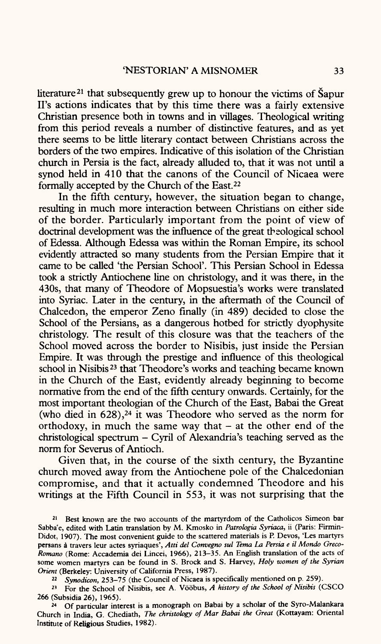literature<sup>21</sup> that subsequently grew up to honour the victims of  $\tilde{S}$ apur II's actions indicates that by this time there was a fairly extensive Christian presence both in towns and in villages. Theological writing from this period reveals a number of distinctive features, and as ye<sup>t</sup> there seems to be little literary contact between Christians across the borders of the two empires. Indicative of this isolation of the Christian church in Persia is the fact, already alluded to, that it was not until <sup>a</sup> synod held in 410 that the canons of the Council of Nicaea were formally accepted by the Church of the East.22

In the fifth century, however, the situation began to change, resulting in much more interaction between Christians on either side of the border. Particularly important from the point of view of doctrinal development was the influence of the great theological school of Edessa. Although Edessa was within the Roman Empire, its school evidently attracted so many students from the Persian Empire that it came to be called 'the Persian School'. This Persian School in Edessa took a strictly Antiochene line on christology, and it was there, in the 430s, that many of Theodore of Mopsuestia's works were translated into Syriac. Later in the century, in the aftermath of the Council of Chalcedon, the emperor Zeno finally (in 489) decided to close the School of the Persians, as a dangerous hotbed for strictly dyophysite christology. The result of this closure was that the teachers of the School moved across the border to Nisibis, just inside the Persian Empire. It was through the prestige and influence of this theological school in Nisibis 23 that Theodore's works and teaching became known in the Church of the East, evidently already beginning to become normative from the end of the fifth century onwards. Certainly, for the most important theologian of the Church of the East, Babai the Great (who died in  $628$ ),<sup>24</sup> it was Theodore who served as the norm for orthodoxy, in much the same way that  $-$  at the other end of the christological spectrum - Cyril of Alexandria's teaching served as the norm for Severus of Antioch.

Given that, in the course of the sixth century, the Byzantine church moved away from the Antiochene pole of the Chalcedonian compromise, and that it actually condemned Theodore and his writings at the Fifth Council in 553, it was not surprising that the

*22 Synodicon,* 253-75 (the Council of Nicaea is specifically mentioned on p. 259).

23 For the School of Nisibis, see A. Voobus, *A history of the School of Nisibis* (CSCO 266 (Subsidia 26), 1965).

24 Of particular interest is a monograph on Babai by a scholar of the Syro-Malankara Church in India, G. Chediath, *The christology of Mar Babai the Great* (Kottayam: Oriental Institute of **Religious** Studies, 1982).

<sup>&</sup>lt;sup>21</sup> Best known are the two accounts of the martyrdom of the Catholicos Simeon bar Sabba'e, edited with Latin translation by M. Kmosko in *Patrologia Syriaca,* ii (Paris: Firmin-Didot, 1907). The most convenient guide to the scattered materials is P. Devos, 'Les martyrs persans a travers leur actes syriaques', *Atti del Convegno sul Tema La Persia e il Mondo Greco-Romano* (Rome: Accademia dei Lincei, 1966), 213-35. An English translation of the acts of some women martyrs can be found in S. Brock and S. Harvey, *Holy women of the Syrian Orient* (Berkeley: University of California Press, 1987).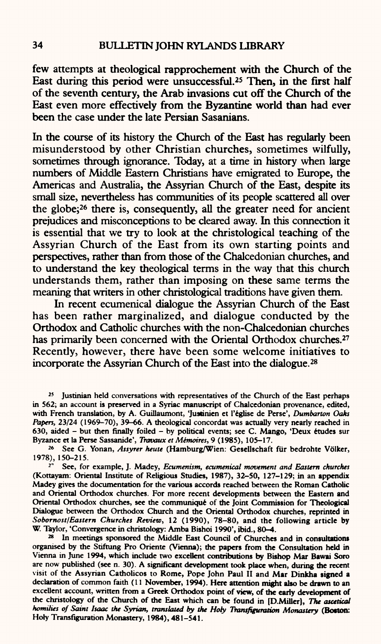few attempts at theological rapprochement with the Church of the East during this period were unsuccessful.25 Then, in the first half of the seventh century, the Arab invasions cut off the Church of the East even more effectively from the Byzantine world than had ever been the case under the late Persian Sasanians.

In the course of its history the Church of the East has regularly been misunderstood by other Christian churches, sometimes wilfully, sometimes through ignorance. Today, at a time in history when large numbers of Middle Eastern Christians have emigrated to Europe, the Americas and Australia, the Assyrian Church of the East, despite its small size, nevertheless has communities of its people scattered all over the globe;26 there is, consequently, all the greater need for ancient prejudices and misconceptions to be cleared away. In this connection it is essential that we try to look at the christological teaching of the Assyrian Church of the East from its own starting points and perspectives, rather than from those of the Chalcedonian churches, and to understand the key theological terms in the way that this church understands them, rather than imposing on these same terms the meaning that writers in other christological traditions have given them.

In recent ecumenical dialogue the Assyrian Church of the East has been rather marginalized, and dialogue conducted by the Orthodox and Catholic churches with the non-Chalcedonian churches has primarily been concerned with the Oriental Orthodox churches.<sup>27</sup> Recently, however, there have been some welcome initiatives to incorporate the Assyrian Church of the East into the dialogue.28

**25 Justinian held conversations with representatives of the Church of the East perhaps in 562; an account is preserved in a Syriac manuscript of Chalcedonian provenance, edited, with French translation, by A. Guillaumont, 'Justinien et 1'eglise de Perse',** *Dumbarton Oaks Papers,* **23/24 (1969-70), 39-66. A theological concordat was actually very nearly reached in 630, aided - but then finally foiled - by political events; see C. Mango, 'Deux etudes sur Byzance et la Perse Sassanide',** *Travaux et Memoires,* **9 (1985), 105-17.**

**26 See G. Yonan,** *Assyrer heute* **(Hamburg/Wien: Gesellschaft fur bedrohte Volker, 1978), 150-215.**

*<sup>r</sup>***See, for example, J. Madey,** *Ecumenism, ecumenical movement and Eastern churches*  **(Kottayam: Oriental Institute of Religious Studies, 1987), 32-50, 127-129; in an appendix Madey gives the documentation for the various accords reached between the Roman Catholic and Oriental Orthodox churches. For more recent developments between the Eastern and Oriental Orthodox churches, see the communique of the Joint Commission for Theological Dialogue between the Orthodox Church and the Oriental Orthodox churches, reprinted in**  *Sober nost I Eastern Churches Review,* **12 (1990), 78-80, and the following article by W. Taylor, 'Convergence in christology: Amba Bishoi 1990', ibid., 80-4.**

**28 In meetings sponsored the Middle East Council of Churches and in consultations organised by the Stiftung Pro Oriente (Vienna); the papers from the Consultation held in Vienna in June 1994, which include two excellent contributions by Bishop Mar Bawai Soro are now published (see n. 30). A significant development took place when, during the recent visit of the Assyrian Catholicos to Rome, Pope John Paul II and Mar Dinkha signed <sup>a</sup> declaration of common faith (11 November, 1994). Here attention might also be drawn to an excellent account, written from a Greek Orthodox point of view, of the early development of the christology of the Church of the East which can be found in [D.Miller),** *The aieetical homilies of Saint Isaac the Syrian, translated by the Hofy Transfiguration Monastery* **(Boston: Holy Transfiguration Monastery, 1984), 481-541.**